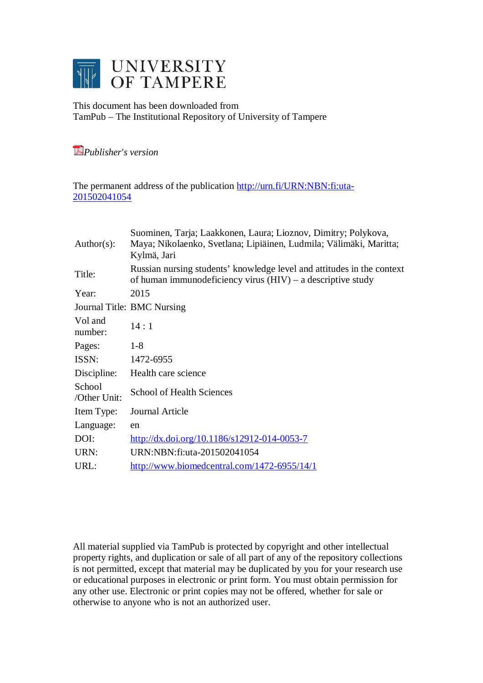

This document has been downloaded from TamPub – The Institutional Repository of University of Tampere

*Publisher's version* 

The permanent address of the publication [http://urn.fi/URN:NBN:fi:uta-](http://urn.fi/URN:NBN:fi:uta-201502041054)[201502041054](http://urn.fi/URN:NBN:fi:uta-201502041054)

| Author(s):             | Suominen, Tarja; Laakkonen, Laura; Lioznov, Dimitry; Polykova,<br>Maya; Nikolaenko, Svetlana; Lipiäinen, Ludmila; Välimäki, Maritta;<br>Kylmä, Jari |
|------------------------|-----------------------------------------------------------------------------------------------------------------------------------------------------|
| Title:                 | Russian nursing students' knowledge level and attitudes in the context<br>of human immunodeficiency virus $(HIV)$ – a descriptive study             |
| Year:                  | 2015                                                                                                                                                |
|                        | Journal Title: BMC Nursing                                                                                                                          |
| Vol and<br>number:     | 14:1                                                                                                                                                |
| Pages:                 | $1-8$                                                                                                                                               |
| ISSN:                  | 1472-6955                                                                                                                                           |
| Discipline:            | Health care science                                                                                                                                 |
| School<br>/Other Unit: | <b>School of Health Sciences</b>                                                                                                                    |
| Item Type:             | Journal Article                                                                                                                                     |
| Language:              | en                                                                                                                                                  |
| DOI:                   | http://dx.doi.org/10.1186/s12912-014-0053-7                                                                                                         |
| URN:                   | URN:NBN:fi:uta-201502041054                                                                                                                         |
| URL:                   | http://www.biomedcentral.com/1472-6955/14/1                                                                                                         |

All material supplied via TamPub is protected by copyright and other intellectual property rights, and duplication or sale of all part of any of the repository collections is not permitted, except that material may be duplicated by you for your research use or educational purposes in electronic or print form. You must obtain permission for any other use. Electronic or print copies may not be offered, whether for sale or otherwise to anyone who is not an authorized user.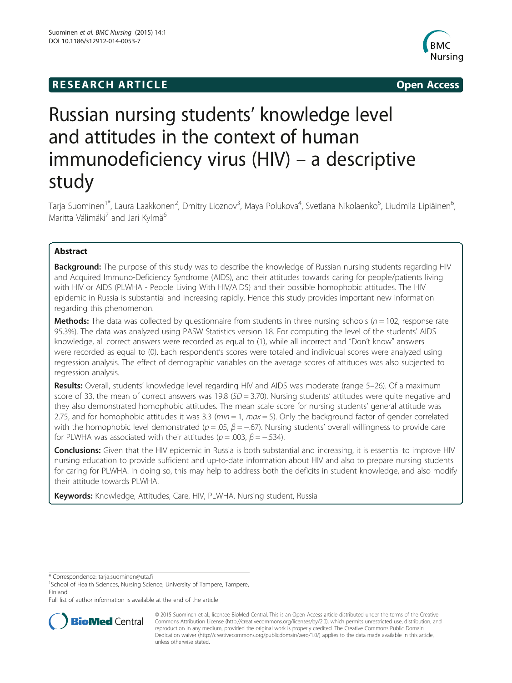# **RESEARCH ARTICLE Example 2008 CONSIDERING CONSIDERING CONSIDERING CONSIDERING CONSIDERING CONSIDERING CONSIDERING CONSIDERING CONSIDERING CONSIDERING CONSIDERING CONSIDERING CONSIDERING CONSIDERING CONSIDERING CONSIDE**



# Russian nursing students' knowledge level and attitudes in the context of human immunodeficiency virus (HIV) – a descriptive study

Tarja Suominen<sup>1\*</sup>, Laura Laakkonen<sup>2</sup>, Dmitry Lioznov<sup>3</sup>, Maya Polukova<sup>4</sup>, Svetlana Nikolaenko<sup>5</sup>, Liudmila Lipiäinen<sup>6</sup> , Maritta Välimäki<sup>7</sup> and Jari Kylmä<sup>6</sup>

# Abstract

Background: The purpose of this study was to describe the knowledge of Russian nursing students regarding HIV and Acquired Immuno-Deficiency Syndrome (AIDS), and their attitudes towards caring for people/patients living with HIV or AIDS (PLWHA - People Living With HIV/AIDS) and their possible homophobic attitudes. The HIV epidemic in Russia is substantial and increasing rapidly. Hence this study provides important new information regarding this phenomenon.

**Methods:** The data was collected by questionnaire from students in three nursing schools ( $n = 102$ , response rate 95.3%). The data was analyzed using PASW Statistics version 18. For computing the level of the students' AIDS knowledge, all correct answers were recorded as equal to (1), while all incorrect and "Don't know" answers were recorded as equal to (0). Each respondent's scores were totaled and individual scores were analyzed using regression analysis. The effect of demographic variables on the average scores of attitudes was also subjected to regression analysis.

Results: Overall, students' knowledge level regarding HIV and AIDS was moderate (range 5-26). Of a maximum score of 33, the mean of correct answers was 19.8 ( $SD = 3.70$ ). Nursing students' attitudes were quite negative and they also demonstrated homophobic attitudes. The mean scale score for nursing students' general attitude was 2.75, and for homophobic attitudes it was 3.3 ( $min = 1$ ,  $max = 5$ ). Only the background factor of gender correlated with the homophobic level demonstrated ( $p = .05$ ,  $\beta = -.67$ ). Nursing students' overall willingness to provide care for PLWHA was associated with their attitudes ( $p = .003$ ,  $\beta = -.534$ ).

Conclusions: Given that the HIV epidemic in Russia is both substantial and increasing, it is essential to improve HIV nursing education to provide sufficient and up-to-date information about HIV and also to prepare nursing students for caring for PLWHA. In doing so, this may help to address both the deficits in student knowledge, and also modify their attitude towards PLWHA.

Keywords: Knowledge, Attitudes, Care, HIV, PLWHA, Nursing student, Russia

\* Correspondence: [tarja.suominen@uta.fi](mailto:tarja.suominen@uta.fi) <sup>1</sup>

<sup>1</sup>School of Health Sciences, Nursing Science, University of Tampere, Tampere, Finland

Full list of author information is available at the end of the article



<sup>© 2015</sup> Suominen et al.; licensee BioMed Central. This is an Open Access article distributed under the terms of the Creative Commons Attribution License [\(http://creativecommons.org/licenses/by/2.0\)](http://creativecommons.org/licenses/by/2.0), which permits unrestricted use, distribution, and reproduction in any medium, provided the original work is properly credited. The Creative Commons Public Domain Dedication waiver [\(http://creativecommons.org/publicdomain/zero/1.0/](http://creativecommons.org/publicdomain/zero/1.0/)) applies to the data made available in this article, unless otherwise stated.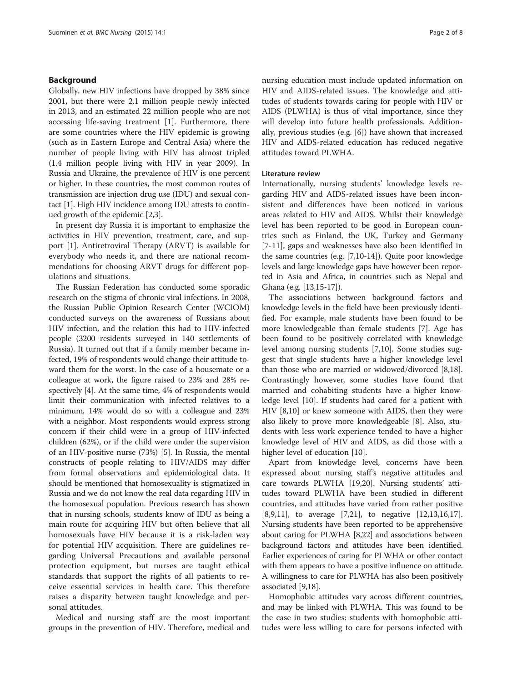# Background

Globally, new HIV infections have dropped by 38% since 2001, but there were 2.1 million people newly infected in 2013, and an estimated 22 million people who are not accessing life-saving treatment [[1\]](#page-8-0). Furthermore, there are some countries where the HIV epidemic is growing (such as in Eastern Europe and Central Asia) where the number of people living with HIV has almost tripled (1.4 million people living with HIV in year 2009). In Russia and Ukraine, the prevalence of HIV is one percent or higher. In these countries, the most common routes of transmission are injection drug use (IDU) and sexual contact [\[1](#page-8-0)]. High HIV incidence among IDU attests to continued growth of the epidemic [[2,3](#page-8-0)].

In present day Russia it is important to emphasize the activities in HIV prevention, treatment, care, and support [[1\]](#page-8-0). Antiretroviral Therapy (ARVT) is available for everybody who needs it, and there are national recommendations for choosing ARVT drugs for different populations and situations.

The Russian Federation has conducted some sporadic research on the stigma of chronic viral infections. In 2008, the Russian Public Opinion Research Center (WCIOM) conducted surveys on the awareness of Russians about HIV infection, and the relation this had to HIV-infected people (3200 residents surveyed in 140 settlements of Russia). It turned out that if a family member became infected, 19% of respondents would change their attitude toward them for the worst. In the case of a housemate or a colleague at work, the figure raised to 23% and 28% respectively [\[4](#page-8-0)]. At the same time, 4% of respondents would limit their communication with infected relatives to a minimum, 14% would do so with a colleague and 23% with a neighbor. Most respondents would express strong concern if their child were in a group of HIV-infected children (62%), or if the child were under the supervision of an HIV-positive nurse (73%) [\[5](#page-8-0)]. In Russia, the mental constructs of people relating to HIV/AIDS may differ from formal observations and epidemiological data. It should be mentioned that homosexuality is stigmatized in Russia and we do not know the real data regarding HIV in the homosexual population. Previous research has shown that in nursing schools, students know of IDU as being a main route for acquiring HIV but often believe that all homosexuals have HIV because it is a risk-laden way for potential HIV acquisition. There are guidelines regarding Universal Precautions and available personal protection equipment, but nurses are taught ethical standards that support the rights of all patients to receive essential services in health care. This therefore raises a disparity between taught knowledge and personal attitudes.

Medical and nursing staff are the most important groups in the prevention of HIV. Therefore, medical and

nursing education must include updated information on HIV and AIDS-related issues. The knowledge and attitudes of students towards caring for people with HIV or AIDS (PLWHA) is thus of vital importance, since they will develop into future health professionals. Additionally, previous studies (e.g. [[6\]](#page-8-0)) have shown that increased HIV and AIDS-related education has reduced negative attitudes toward PLWHA.

# Literature review

Internationally, nursing students' knowledge levels regarding HIV and AIDS-related issues have been inconsistent and differences have been noticed in various areas related to HIV and AIDS. Whilst their knowledge level has been reported to be good in European countries such as Finland, the UK, Turkey and Germany [[7-11](#page-8-0)], gaps and weaknesses have also been identified in the same countries (e.g. [[7,10](#page-8-0)-[14](#page-8-0)]). Quite poor knowledge levels and large knowledge gaps have however been reported in Asia and Africa, in countries such as Nepal and Ghana (e.g. [[13,15-17](#page-8-0)]).

The associations between background factors and knowledge levels in the field have been previously identified. For example, male students have been found to be more knowledgeable than female students [\[7](#page-8-0)]. Age has been found to be positively correlated with knowledge level among nursing students [[7,10\]](#page-8-0). Some studies suggest that single students have a higher knowledge level than those who are married or widowed/divorced [\[8,18](#page-8-0)]. Contrastingly however, some studies have found that married and cohabiting students have a higher knowledge level [[10\]](#page-8-0). If students had cared for a patient with HIV [[8,10\]](#page-8-0) or knew someone with AIDS, then they were also likely to prove more knowledgeable [\[8](#page-8-0)]. Also, students with less work experience tended to have a higher knowledge level of HIV and AIDS, as did those with a higher level of education [\[10\]](#page-8-0).

Apart from knowledge level, concerns have been expressed about nursing staff's negative attitudes and care towards PLWHA [\[19,20\]](#page-8-0). Nursing students' attitudes toward PLWHA have been studied in different countries, and attitudes have varied from rather positive [[8,9,11\]](#page-8-0), to average [[7,21\]](#page-8-0), to negative [[12](#page-8-0),[13,16,17](#page-8-0)]. Nursing students have been reported to be apprehensive about caring for PLWHA [\[8,22\]](#page-8-0) and associations between background factors and attitudes have been identified. Earlier experiences of caring for PLWHA or other contact with them appears to have a positive influence on attitude. A willingness to care for PLWHA has also been positively associated [[9,18](#page-8-0)].

Homophobic attitudes vary across different countries, and may be linked with PLWHA. This was found to be the case in two studies: students with homophobic attitudes were less willing to care for persons infected with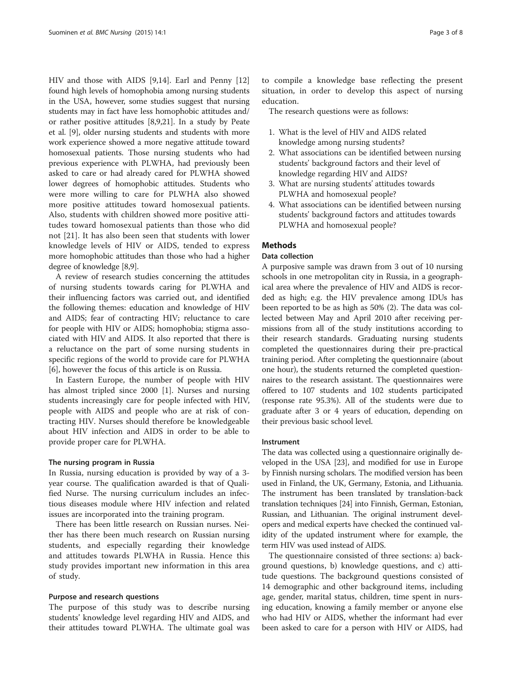HIV and those with AIDS [\[9,14](#page-8-0)]. Earl and Penny [[12](#page-8-0)] found high levels of homophobia among nursing students in the USA, however, some studies suggest that nursing students may in fact have less homophobic attitudes and/ or rather positive attitudes [[8,9,21](#page-8-0)]. In a study by Peate et al. [\[9](#page-8-0)], older nursing students and students with more work experience showed a more negative attitude toward homosexual patients. Those nursing students who had previous experience with PLWHA, had previously been asked to care or had already cared for PLWHA showed lower degrees of homophobic attitudes. Students who were more willing to care for PLWHA also showed more positive attitudes toward homosexual patients. Also, students with children showed more positive attitudes toward homosexual patients than those who did not [\[21](#page-8-0)]. It has also been seen that students with lower knowledge levels of HIV or AIDS, tended to express more homophobic attitudes than those who had a higher degree of knowledge [[8,9](#page-8-0)].

A review of research studies concerning the attitudes of nursing students towards caring for PLWHA and their influencing factors was carried out, and identified the following themes: education and knowledge of HIV and AIDS; fear of contracting HIV; reluctance to care for people with HIV or AIDS; homophobia; stigma associated with HIV and AIDS. It also reported that there is a reluctance on the part of some nursing students in specific regions of the world to provide care for PLWHA [[6\]](#page-8-0), however the focus of this article is on Russia.

In Eastern Europe, the number of people with HIV has almost tripled since 2000 [[1](#page-8-0)]. Nurses and nursing students increasingly care for people infected with HIV, people with AIDS and people who are at risk of contracting HIV. Nurses should therefore be knowledgeable about HIV infection and AIDS in order to be able to provide proper care for PLWHA.

### The nursing program in Russia

In Russia, nursing education is provided by way of a 3 year course. The qualification awarded is that of Qualified Nurse. The nursing curriculum includes an infectious diseases module where HIV infection and related issues are incorporated into the training program.

There has been little research on Russian nurses. Neither has there been much research on Russian nursing students, and especially regarding their knowledge and attitudes towards PLWHA in Russia. Hence this study provides important new information in this area of study.

#### Purpose and research questions

The purpose of this study was to describe nursing students' knowledge level regarding HIV and AIDS, and their attitudes toward PLWHA. The ultimate goal was to compile a knowledge base reflecting the present situation, in order to develop this aspect of nursing education.

The research questions were as follows:

- 1. What is the level of HIV and AIDS related knowledge among nursing students?
- 2. What associations can be identified between nursing students' background factors and their level of knowledge regarding HIV and AIDS?
- 3. What are nursing students' attitudes towards PLWHA and homosexual people?
- 4. What associations can be identified between nursing students' background factors and attitudes towards PLWHA and homosexual people?

# **Methods**

# Data collection

A purposive sample was drawn from 3 out of 10 nursing schools in one metropolitan city in Russia, in a geographical area where the prevalence of HIV and AIDS is recorded as high; e.g. the HIV prevalence among IDUs has been reported to be as high as 50% (2). The data was collected between May and April 2010 after receiving permissions from all of the study institutions according to their research standards. Graduating nursing students completed the questionnaires during their pre-practical training period. After completing the questionnaire (about one hour), the students returned the completed questionnaires to the research assistant. The questionnaires were offered to 107 students and 102 students participated (response rate 95.3%). All of the students were due to graduate after 3 or 4 years of education, depending on their previous basic school level.

#### Instrument

The data was collected using a questionnaire originally developed in the USA [[23](#page-8-0)], and modified for use in Europe by Finnish nursing scholars. The modified version has been used in Finland, the UK, Germany, Estonia, and Lithuania. The instrument has been translated by translation-back translation techniques [[24](#page-8-0)] into Finnish, German, Estonian, Russian, and Lithuanian. The original instrument developers and medical experts have checked the continued validity of the updated instrument where for example, the term HIV was used instead of AIDS.

The questionnaire consisted of three sections: a) background questions, b) knowledge questions, and c) attitude questions. The background questions consisted of 14 demographic and other background items, including age, gender, marital status, children, time spent in nursing education, knowing a family member or anyone else who had HIV or AIDS, whether the informant had ever been asked to care for a person with HIV or AIDS, had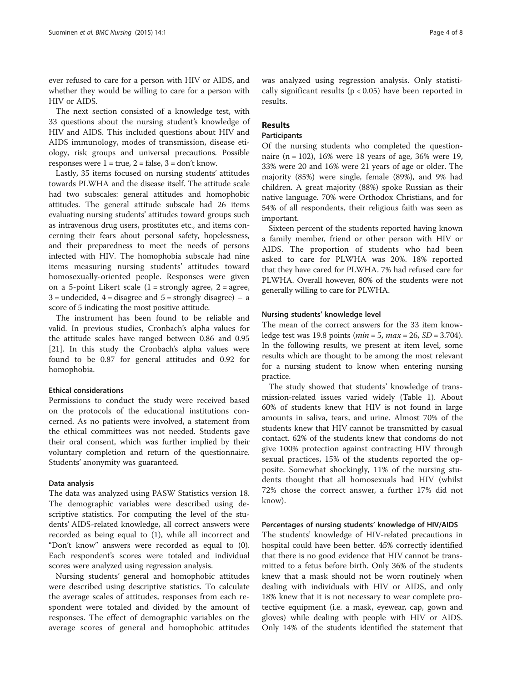ever refused to care for a person with HIV or AIDS, and whether they would be willing to care for a person with HIV or AIDS.

The next section consisted of a knowledge test, with 33 questions about the nursing student's knowledge of HIV and AIDS. This included questions about HIV and AIDS immunology, modes of transmission, disease etiology, risk groups and universal precautions. Possible responses were  $1 = true$ ,  $2 = false$ ,  $3 = don't know$ .

Lastly, 35 items focused on nursing students' attitudes towards PLWHA and the disease itself. The attitude scale had two subscales: general attitudes and homophobic attitudes. The general attitude subscale had 26 items evaluating nursing students' attitudes toward groups such as intravenous drug users, prostitutes etc., and items concerning their fears about personal safety, hopelessness, and their preparedness to meet the needs of persons infected with HIV. The homophobia subscale had nine items measuring nursing students' attitudes toward homosexually-oriented people. Responses were given on a 5-point Likert scale  $(1 =$ strongly agree,  $2 =$ agree,  $3 =$  undecided,  $4 =$  disagree and  $5 =$  strongly disagree) – a score of 5 indicating the most positive attitude.

The instrument has been found to be reliable and valid. In previous studies, Cronbach's alpha values for the attitude scales have ranged between 0.86 and 0.95 [[21\]](#page-8-0). In this study the Cronbach's alpha values were found to be 0.87 for general attitudes and 0.92 for homophobia.

# Ethical considerations

Permissions to conduct the study were received based on the protocols of the educational institutions concerned. As no patients were involved, a statement from the ethical committees was not needed. Students gave their oral consent, which was further implied by their voluntary completion and return of the questionnaire. Students' anonymity was guaranteed.

### Data analysis

The data was analyzed using PASW Statistics version 18. The demographic variables were described using descriptive statistics. For computing the level of the students' AIDS-related knowledge, all correct answers were recorded as being equal to (1), while all incorrect and "Don't know" answers were recorded as equal to (0). Each respondent's scores were totaled and individual scores were analyzed using regression analysis.

Nursing students' general and homophobic attitudes were described using descriptive statistics. To calculate the average scales of attitudes, responses from each respondent were totaled and divided by the amount of responses. The effect of demographic variables on the average scores of general and homophobic attitudes was analyzed using regression analysis. Only statistically significant results ( $p < 0.05$ ) have been reported in results.

# Results

# Participants

Of the nursing students who completed the questionnaire (n = 102),  $16\%$  were 18 years of age,  $36\%$  were 19, 33% were 20 and 16% were 21 years of age or older. The majority (85%) were single, female (89%), and 9% had children. A great majority (88%) spoke Russian as their native language. 70% were Orthodox Christians, and for 54% of all respondents, their religious faith was seen as important.

Sixteen percent of the students reported having known a family member, friend or other person with HIV or AIDS. The proportion of students who had been asked to care for PLWHA was 20%. 18% reported that they have cared for PLWHA. 7% had refused care for PLWHA. Overall however, 80% of the students were not generally willing to care for PLWHA.

# Nursing students' knowledge level

The mean of the correct answers for the 33 item knowledge test was 19.8 points ( $min = 5$ ,  $max = 26$ ,  $SD = 3.704$ ). In the following results, we present at item level, some results which are thought to be among the most relevant for a nursing student to know when entering nursing practice.

The study showed that students' knowledge of transmission-related issues varied widely (Table [1\)](#page-5-0). About 60% of students knew that HIV is not found in large amounts in saliva, tears, and urine. Almost 70% of the students knew that HIV cannot be transmitted by casual contact. 62% of the students knew that condoms do not give 100% protection against contracting HIV through sexual practices, 15% of the students reported the opposite. Somewhat shockingly, 11% of the nursing students thought that all homosexuals had HIV (whilst 72% chose the correct answer, a further 17% did not know).

#### Percentages of nursing students' knowledge of HIV/AIDS

The students' knowledge of HIV-related precautions in hospital could have been better. 45% correctly identified that there is no good evidence that HIV cannot be transmitted to a fetus before birth. Only 36% of the students knew that a mask should not be worn routinely when dealing with individuals with HIV or AIDS, and only 18% knew that it is not necessary to wear complete protective equipment (i.e. a mask, eyewear, cap, gown and gloves) while dealing with people with HIV or AIDS. Only 14% of the students identified the statement that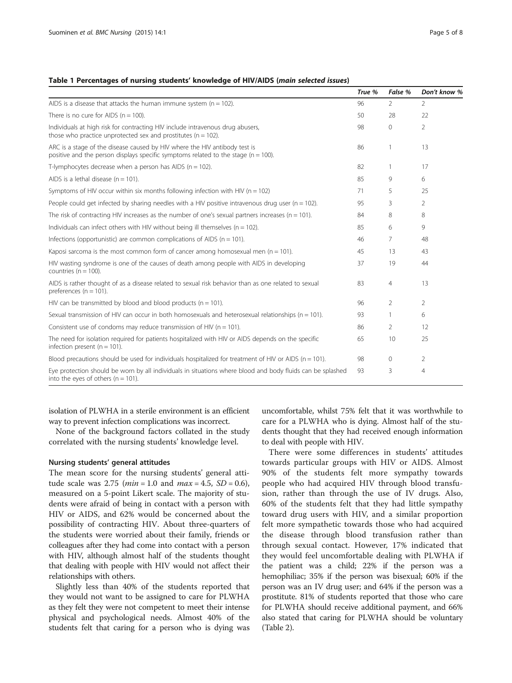#### <span id="page-5-0"></span>Table 1 Percentages of nursing students' knowledge of HIV/AIDS (main selected issues)

|                                                                                                                                                                      | True % | False %        | Don't know %   |
|----------------------------------------------------------------------------------------------------------------------------------------------------------------------|--------|----------------|----------------|
| AIDS is a disease that attacks the human immune system ( $n = 102$ ).                                                                                                | 96     | 2              | 2              |
| There is no cure for AIDS ( $n = 100$ ).                                                                                                                             | 50     | 28             | 22             |
| Individuals at high risk for contracting HIV include intravenous drug abusers,<br>those who practice unprotected sex and prostitutes ( $n = 102$ ).                  | 98     | $\mathbf{0}$   | $\overline{2}$ |
| ARC is a stage of the disease caused by HIV where the HIV antibody test is<br>positive and the person displays specific symptoms related to the stage ( $n = 100$ ). | 86     | 1              | 13             |
| T-lymphocytes decrease when a person has AIDS ( $n = 102$ ).                                                                                                         | 82     | $\mathbf{1}$   | 17             |
| AIDS is a lethal disease ( $n = 101$ ).                                                                                                                              | 85     | 9              | 6              |
| Symptoms of HIV occur within six months following infection with HIV ( $n = 102$ )                                                                                   | 71     | 5              | 25             |
| People could get infected by sharing needles with a HIV positive intravenous drug user ( $n = 102$ ).                                                                | 95     | 3              | 2              |
| The risk of contracting HIV increases as the number of one's sexual partners increases ( $n = 101$ ).                                                                | 84     | 8              | 8              |
| Individuals can infect others with HIV without being ill themselves ( $n = 102$ ).                                                                                   | 85     | 6              | 9              |
| Infections (opportunistic) are common complications of AIDS ( $n = 101$ ).                                                                                           | 46     | 7              | 48             |
| Kaposi sarcoma is the most common form of cancer among homosexual men ( $n = 101$ ).                                                                                 | 45     | 13             | 43             |
| HIV wasting syndrome is one of the causes of death among people with AIDS in developing<br>countries ( $n = 100$ ).                                                  | 37     | 19             | 44             |
| AIDS is rather thought of as a disease related to sexual risk behavior than as one related to sexual<br>preferences ( $n = 101$ ).                                   | 83     | $\overline{4}$ | 13             |
| HIV can be transmitted by blood and blood products ( $n = 101$ ).                                                                                                    | 96     | 2              | 2              |
| Sexual transmission of HIV can occur in both homosexuals and heterosexual relationships ( $n = 101$ ).                                                               | 93     | 1              | 6              |
| Consistent use of condoms may reduce transmission of HIV ( $n = 101$ ).                                                                                              | 86     | $\overline{2}$ | 12             |
| The need for isolation required for patients hospitalized with HIV or AIDS depends on the specific<br>infection present ( $n = 101$ ).                               | 65     | 10             | 25             |
| Blood precautions should be used for individuals hospitalized for treatment of HIV or AIDS ( $n = 101$ ).                                                            | 98     | $\mathbf{0}$   | 2              |
| Eye protection should be worn by all individuals in situations where blood and body fluids can be splashed<br>into the eyes of others ( $n = 101$ ).                 | 93     | 3              | $\overline{4}$ |

isolation of PLWHA in a sterile environment is an efficient way to prevent infection complications was incorrect.

None of the background factors collated in the study correlated with the nursing students' knowledge level.

# Nursing students' general attitudes

The mean score for the nursing students' general attitude scale was 2.75 ( $min = 1.0$  and  $max = 4.5$ ,  $SD = 0.6$ ), measured on a 5-point Likert scale. The majority of students were afraid of being in contact with a person with HIV or AIDS, and 62% would be concerned about the possibility of contracting HIV. About three-quarters of the students were worried about their family, friends or colleagues after they had come into contact with a person with HIV, although almost half of the students thought that dealing with people with HIV would not affect their relationships with others.

Slightly less than 40% of the students reported that they would not want to be assigned to care for PLWHA as they felt they were not competent to meet their intense physical and psychological needs. Almost 40% of the students felt that caring for a person who is dying was

uncomfortable, whilst 75% felt that it was worthwhile to care for a PLWHA who is dying. Almost half of the students thought that they had received enough information to deal with people with HIV.

There were some differences in students' attitudes towards particular groups with HIV or AIDS. Almost 90% of the students felt more sympathy towards people who had acquired HIV through blood transfusion, rather than through the use of IV drugs. Also, 60% of the students felt that they had little sympathy toward drug users with HIV, and a similar proportion felt more sympathetic towards those who had acquired the disease through blood transfusion rather than through sexual contact. However, 17% indicated that they would feel uncomfortable dealing with PLWHA if the patient was a child; 22% if the person was a hemophiliac; 35% if the person was bisexual; 60% if the person was an IV drug user; and 64% if the person was a prostitute. 81% of students reported that those who care for PLWHA should receive additional payment, and 66% also stated that caring for PLWHA should be voluntary (Table [2](#page-6-0)).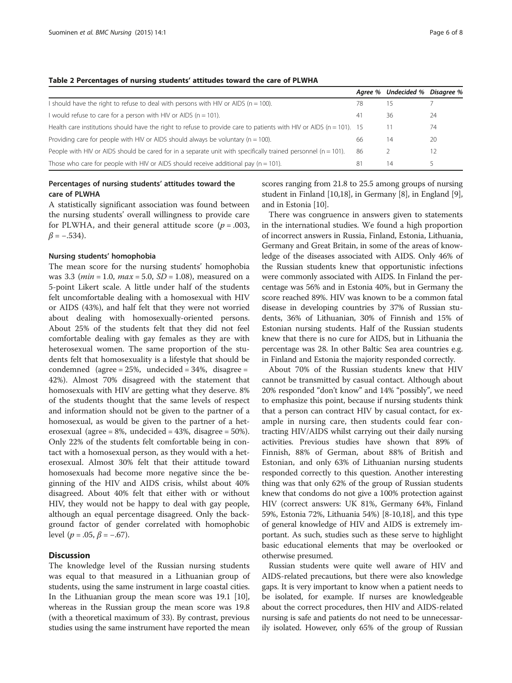#### <span id="page-6-0"></span>Table 2 Percentages of nursing students' attitudes toward the care of PLWHA

|                                                                                                                         |     | Agree % Undecided % Disagree % |    |
|-------------------------------------------------------------------------------------------------------------------------|-----|--------------------------------|----|
| I should have the right to refuse to deal with persons with HIV or AIDS ( $n = 100$ ).                                  | 78  | לו                             |    |
| I would refuse to care for a person with HIV or AIDS ( $n = 101$ ).                                                     | 41  | 36                             | 24 |
| Health care institutions should have the right to refuse to provide care to patients with HIV or AIDS ( $n = 101$ ). 15 |     |                                | 74 |
| Providing care for people with HIV or AIDS should always be voluntary ( $n = 100$ ).                                    | 66  | 14                             | 20 |
| People with HIV or AIDS should be cared for in a separate unit with specifically trained personnel ( $n = 101$ ).       | -86 |                                | 12 |
| Those who care for people with HIV or AIDS should receive additional pay ( $n = 101$ ).                                 | -81 | 14                             |    |

# Percentages of nursing students' attitudes toward the care of PLWHA

A statistically significant association was found between the nursing students' overall willingness to provide care for PLWHA, and their general attitude score ( $p = .003$ ,  $\beta = -.534$ ).

#### Nursing students' homophobia

The mean score for the nursing students' homophobia was 3.3 ( $min = 1.0$ ,  $max = 5.0$ ,  $SD = 1.08$ ), measured on a 5-point Likert scale. A little under half of the students felt uncomfortable dealing with a homosexual with HIV or AIDS (43%), and half felt that they were not worried about dealing with homosexually-oriented persons. About 25% of the students felt that they did not feel comfortable dealing with gay females as they are with heterosexual women. The same proportion of the students felt that homosexuality is a lifestyle that should be condemned (agree =  $25\%$ , undecided =  $34\%$ , disagree = 42%). Almost 70% disagreed with the statement that homosexuals with HIV are getting what they deserve. 8% of the students thought that the same levels of respect and information should not be given to the partner of a homosexual, as would be given to the partner of a heterosexual (agree =  $8\%$ , undecided =  $43\%$ , disagree =  $50\%$ ). Only 22% of the students felt comfortable being in contact with a homosexual person, as they would with a heterosexual. Almost 30% felt that their attitude toward homosexuals had become more negative since the beginning of the HIV and AIDS crisis, whilst about 40% disagreed. About 40% felt that either with or without HIV, they would not be happy to deal with gay people, although an equal percentage disagreed. Only the background factor of gender correlated with homophobic level  $(p = .05, \beta = -.67)$ .

# **Discussion**

The knowledge level of the Russian nursing students was equal to that measured in a Lithuanian group of students, using the same instrument in large coastal cities. In the Lithuanian group the mean score was 19.1 [[10](#page-8-0)], whereas in the Russian group the mean score was 19.8 (with a theoretical maximum of 33). By contrast, previous studies using the same instrument have reported the mean

scores ranging from 21.8 to 25.5 among groups of nursing student in Finland [[10,18](#page-8-0)], in Germany [[8\]](#page-8-0), in England [[9](#page-8-0)], and in Estonia [[10](#page-8-0)].

There was congruence in answers given to statements in the international studies. We found a high proportion of incorrect answers in Russia, Finland, Estonia, Lithuania, Germany and Great Britain, in some of the areas of knowledge of the diseases associated with AIDS. Only 46% of the Russian students knew that opportunistic infections were commonly associated with AIDS. In Finland the percentage was 56% and in Estonia 40%, but in Germany the score reached 89%. HIV was known to be a common fatal disease in developing countries by 37% of Russian students, 36% of Lithuanian, 30% of Finnish and 15% of Estonian nursing students. Half of the Russian students knew that there is no cure for AIDS, but in Lithuania the percentage was 28. In other Baltic Sea area countries e.g. in Finland and Estonia the majority responded correctly.

About 70% of the Russian students knew that HIV cannot be transmitted by casual contact. Although about 20% responded "don't know" and 14% "possibly", we need to emphasize this point, because if nursing students think that a person can contract HIV by casual contact, for example in nursing care, then students could fear contracting HIV/AIDS whilst carrying out their daily nursing activities. Previous studies have shown that 89% of Finnish, 88% of German, about 88% of British and Estonian, and only 63% of Lithuanian nursing students responded correctly to this question. Another interesting thing was that only 62% of the group of Russian students knew that condoms do not give a 100% protection against HIV (correct answers: UK 81%, Germany 64%, Finland 59%, Estonia 72%, Lithuania 54%) [[8-10,18](#page-8-0)], and this type of general knowledge of HIV and AIDS is extremely important. As such, studies such as these serve to highlight basic educational elements that may be overlooked or otherwise presumed.

Russian students were quite well aware of HIV and AIDS-related precautions, but there were also knowledge gaps. It is very important to know when a patient needs to be isolated, for example. If nurses are knowledgeable about the correct procedures, then HIV and AIDS-related nursing is safe and patients do not need to be unnecessarily isolated. However, only 65% of the group of Russian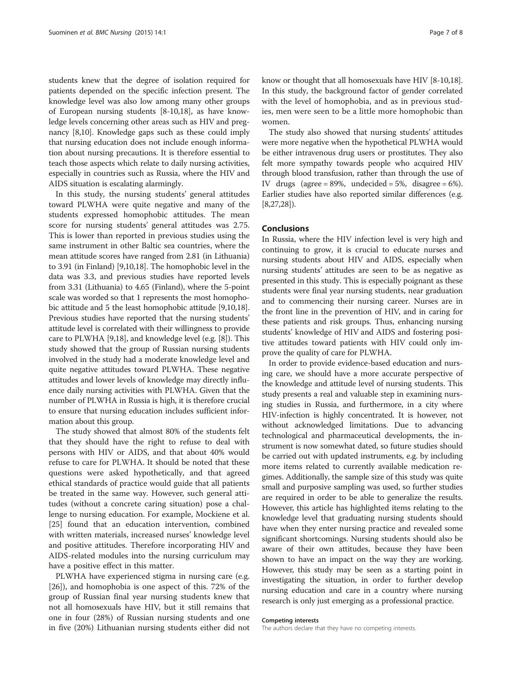students knew that the degree of isolation required for patients depended on the specific infection present. The knowledge level was also low among many other groups of European nursing students [\[8](#page-8-0)-[10,18](#page-8-0)], as have knowledge levels concerning other areas such as HIV and pregnancy [\[8,10\]](#page-8-0). Knowledge gaps such as these could imply that nursing education does not include enough information about nursing precautions. It is therefore essential to teach those aspects which relate to daily nursing activities, especially in countries such as Russia, where the HIV and AIDS situation is escalating alarmingly.

In this study, the nursing students' general attitudes toward PLWHA were quite negative and many of the students expressed homophobic attitudes. The mean score for nursing students' general attitudes was 2.75. This is lower than reported in previous studies using the same instrument in other Baltic sea countries, where the mean attitude scores have ranged from 2.81 (in Lithuania) to 3.91 (in Finland) [\[9,10,18](#page-8-0)]. The homophobic level in the data was 3.3, and previous studies have reported levels from 3.31 (Lithuania) to 4.65 (Finland), where the 5-point scale was worded so that 1 represents the most homophobic attitude and 5 the least homophobic attitude [\[9,10,18](#page-8-0)]. Previous studies have reported that the nursing students' attitude level is correlated with their willingness to provide care to PLWHA [[9,18](#page-8-0)], and knowledge level (e.g. [\[8\]](#page-8-0)). This study showed that the group of Russian nursing students involved in the study had a moderate knowledge level and quite negative attitudes toward PLWHA. These negative attitudes and lower levels of knowledge may directly influence daily nursing activities with PLWHA. Given that the number of PLWHA in Russia is high, it is therefore crucial to ensure that nursing education includes sufficient information about this group.

The study showed that almost 80% of the students felt that they should have the right to refuse to deal with persons with HIV or AIDS, and that about 40% would refuse to care for PLWHA. It should be noted that these questions were asked hypothetically, and that agreed ethical standards of practice would guide that all patients be treated in the same way. However, such general attitudes (without a concrete caring situation) pose a challenge to nursing education. For example, Mockiene et al. [[25\]](#page-8-0) found that an education intervention, combined with written materials, increased nurses' knowledge level and positive attitudes. Therefore incorporating HIV and AIDS-related modules into the nursing curriculum may have a positive effect in this matter.

PLWHA have experienced stigma in nursing care (e.g. [[26\]](#page-8-0)), and homophobia is one aspect of this. 72% of the group of Russian final year nursing students knew that not all homosexuals have HIV, but it still remains that one in four (28%) of Russian nursing students and one in five (20%) Lithuanian nursing students either did not

know or thought that all homosexuals have HIV [[8-10,18](#page-8-0)]. In this study, the background factor of gender correlated with the level of homophobia, and as in previous studies, men were seen to be a little more homophobic than women.

The study also showed that nursing students' attitudes were more negative when the hypothetical PLWHA would be either intravenous drug users or prostitutes. They also felt more sympathy towards people who acquired HIV through blood transfusion, rather than through the use of IV drugs (agree =  $89\%$ , undecided =  $5\%$ , disagree =  $6\%$ ). Earlier studies have also reported similar differences (e.g. [[8,27,28](#page-8-0)]).

# Conclusions

In Russia, where the HIV infection level is very high and continuing to grow, it is crucial to educate nurses and nursing students about HIV and AIDS, especially when nursing students' attitudes are seen to be as negative as presented in this study. This is especially poignant as these students were final year nursing students, near graduation and to commencing their nursing career. Nurses are in the front line in the prevention of HIV, and in caring for these patients and risk groups. Thus, enhancing nursing students' knowledge of HIV and AIDS and fostering positive attitudes toward patients with HIV could only improve the quality of care for PLWHA.

In order to provide evidence-based education and nursing care, we should have a more accurate perspective of the knowledge and attitude level of nursing students. This study presents a real and valuable step in examining nursing studies in Russia, and furthermore, in a city where HIV-infection is highly concentrated. It is however, not without acknowledged limitations. Due to advancing technological and pharmaceutical developments, the instrument is now somewhat dated, so future studies should be carried out with updated instruments, e.g. by including more items related to currently available medication regimes. Additionally, the sample size of this study was quite small and purposive sampling was used, so further studies are required in order to be able to generalize the results. However, this article has highlighted items relating to the knowledge level that graduating nursing students should have when they enter nursing practice and revealed some significant shortcomings. Nursing students should also be aware of their own attitudes, because they have been shown to have an impact on the way they are working. However, this study may be seen as a starting point in investigating the situation, in order to further develop nursing education and care in a country where nursing research is only just emerging as a professional practice.

#### Competing interests

The authors declare that they have no competing interests.